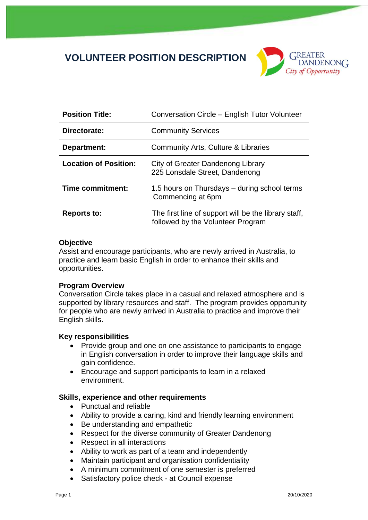# **VOLUNTEER POSITION DESCRIPTION**



| <b>Position Title:</b>       | Conversation Circle - English Tutor Volunteer                                             |
|------------------------------|-------------------------------------------------------------------------------------------|
| Directorate:                 | <b>Community Services</b>                                                                 |
| Department:                  | Community Arts, Culture & Libraries                                                       |
| <b>Location of Position:</b> | City of Greater Dandenong Library<br>225 Lonsdale Street, Dandenong                       |
| Time commitment:             | 1.5 hours on Thursdays – during school terms<br>Commencing at 6pm                         |
| <b>Reports to:</b>           | The first line of support will be the library staff,<br>followed by the Volunteer Program |

### **Objective**

Assist and encourage participants, who are newly arrived in Australia, to practice and learn basic English in order to enhance their skills and opportunities.

### **Program Overview**

Conversation Circle takes place in a casual and relaxed atmosphere and is supported by library resources and staff. The program provides opportunity for people who are newly arrived in Australia to practice and improve their English skills.

### **Key responsibilities**

- Provide group and one on one assistance to participants to engage in English conversation in order to improve their language skills and gain confidence.
- Encourage and support participants to learn in a relaxed environment.

## **Skills, experience and other requirements**

- Punctual and reliable
- Ability to provide a caring, kind and friendly learning environment
- Be understanding and empathetic
- Respect for the diverse community of Greater Dandenong
- Respect in all interactions
- Ability to work as part of a team and independently
- Maintain participant and organisation confidentiality
- A minimum commitment of one semester is preferred
- Satisfactory police check at Council expense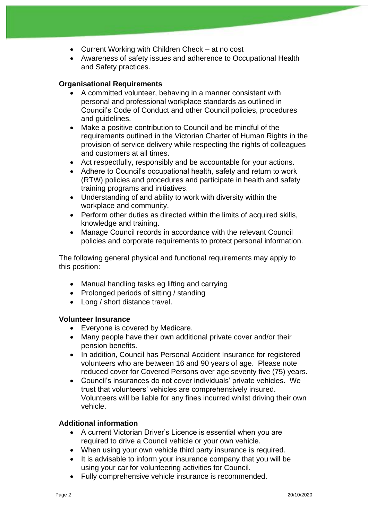- Current Working with Children Check at no cost
- Awareness of safety issues and adherence to Occupational Health and Safety practices.

## **Organisational Requirements**

- A committed volunteer, behaving in a manner consistent with personal and professional workplace standards as outlined in Council's Code of Conduct and other Council policies, procedures and guidelines.
- Make a positive contribution to Council and be mindful of the requirements outlined in the Victorian Charter of Human Rights in the provision of service delivery while respecting the rights of colleagues and customers at all times.
- Act respectfully, responsibly and be accountable for your actions.
- Adhere to Council's occupational health, safety and return to work (RTW) policies and procedures and participate in health and safety training programs and initiatives.
- Understanding of and ability to work with diversity within the workplace and community.
- Perform other duties as directed within the limits of acquired skills, knowledge and training.
- Manage Council records in accordance with the relevant Council policies and corporate requirements to protect personal information.

The following general physical and functional requirements may apply to this position:

- Manual handling tasks eg lifting and carrying
- Prolonged periods of sitting / standing
- Long / short distance travel.

### **Volunteer Insurance**

- Everyone is covered by Medicare.
- Many people have their own additional private cover and/or their pension benefits.
- In addition, Council has Personal Accident Insurance for registered volunteers who are between 16 and 90 years of age. Please note reduced cover for Covered Persons over age seventy five (75) years.
- Council's insurances do not cover individuals' private vehicles. We trust that volunteers' vehicles are comprehensively insured. Volunteers will be liable for any fines incurred whilst driving their own vehicle.

### **Additional information**

- A current Victorian Driver's Licence is essential when you are required to drive a Council vehicle or your own vehicle.
- When using your own vehicle third party insurance is required.
- It is advisable to inform your insurance company that you will be using your car for volunteering activities for Council.
- Fully comprehensive vehicle insurance is recommended.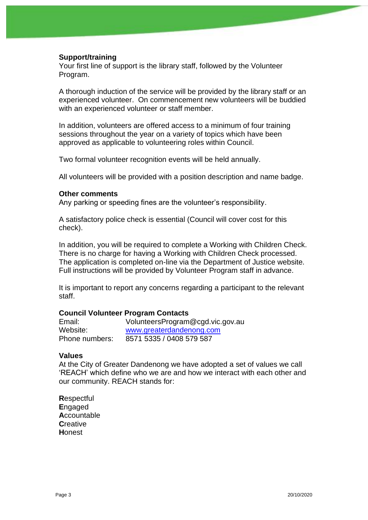### **Support/training**

Your first line of support is the library staff, followed by the Volunteer Program.

A thorough induction of the service will be provided by the library staff or an experienced volunteer. On commencement new volunteers will be buddied with an experienced volunteer or staff member.

In addition, volunteers are offered access to a minimum of four training sessions throughout the year on a variety of topics which have been approved as applicable to volunteering roles within Council.

Two formal volunteer recognition events will be held annually.

All volunteers will be provided with a position description and name badge.

#### **Other comments**

Any parking or speeding fines are the volunteer's responsibility.

A satisfactory police check is essential (Council will cover cost for this check).

In addition, you will be required to complete a Working with Children Check. There is no charge for having a Working with Children Check processed. The application is completed on-line via the Department of Justice website. Full instructions will be provided by Volunteer Program staff in advance.

It is important to report any concerns regarding a participant to the relevant staff.

### **Council Volunteer Program Contacts**

| Email:         | VolunteersProgram@cgd.vic.gov.au |
|----------------|----------------------------------|
| Website:       | www.greaterdandenong.com         |
| Phone numbers: | 8571 5335 / 0408 579 587         |

#### **Values**

At the City of Greater Dandenong we have adopted a set of values we call 'REACH' which define who we are and how we interact with each other and our community. REACH stands for:

**R**espectful **E**ngaged **A**ccountable **C**reative **H**onest